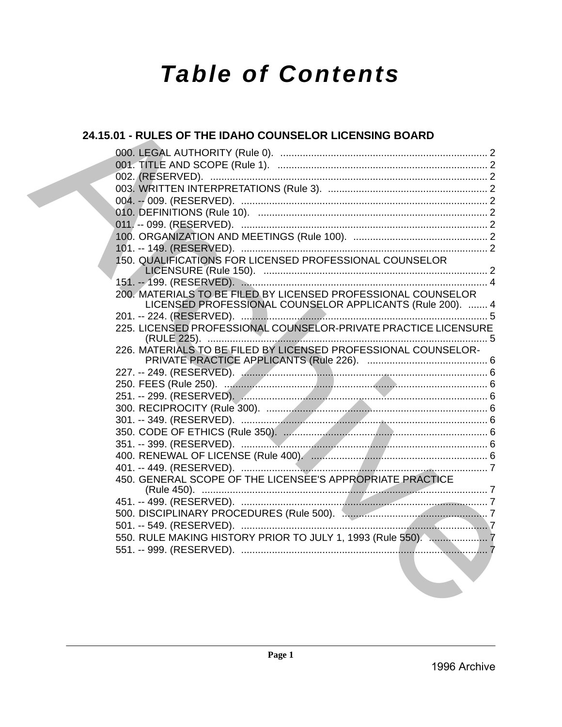# **Table of Contents**

# 24.15.01 - RULES OF THE IDAHO COUNSELOR LICENSING BOARD 150. QUALIFICATIONS FOR LICENSED PROFESSIONAL COUNSELOR 200. MATERIALS TO BE FILED BY LICENSED PROFESSIONAL COUNSELOR LICENSED PROFESSIONAL COUNSELOR APPLICANTS (Rule 200). ....... 4 225. LICENSED PROFESSIONAL COUNSELOR-PRIVATE PRACTICE LICENSURE 226. MATERIALS TO BE FILED BY LICENSED PROFESSIONAL COUNSELOR-450. GENERAL SCOPE OF THE LICENSEE'S APPROPRIATE PRACTICE 550. RULE MAKING HISTORY PRIOR TO JULY 1. 1993 (Rule 550). ...................... 7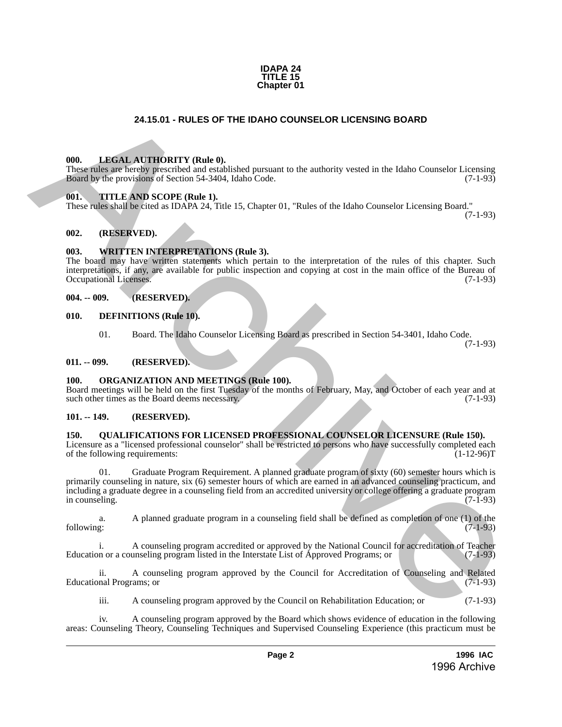

# **24.15.01 - RULES OF THE IDAHO COUNSELOR LICENSING BOARD**

### <span id="page-1-1"></span>**000. LEGAL AUTHORITY (Rule 0).**

These rules are hereby prescribed and established pursuant to the authority vested in the Idaho Counselor Licensing Board by the provisions of Section 54-3404, Idaho Code. (7-1-93)

#### <span id="page-1-2"></span>**001. TITLE AND SCOPE (Rule 1).**

These rules shall be cited as IDAPA 24, Title 15, Chapter 01, "Rules of the Idaho Counselor Licensing Board."

(7-1-93)

#### <span id="page-1-3"></span>**002. (RESERVED).**

## <span id="page-1-4"></span>**003. WRITTEN INTERPRETATIONS (Rule 3).**

The board may have written statements which pertain to the interpretation of the rules of this chapter. Such interpretations, if any, are available for public inspection and copying at cost in the main office of the Bureau of Occupational Licenses.

#### <span id="page-1-5"></span>**004. -- 009. (RESERVED).**

- <span id="page-1-6"></span>**010. DEFINITIONS (Rule 10).**
	- 01. Board. The Idaho Counselor Licensing Board as prescribed in Section 54-3401, Idaho Code. (7-1-93)

#### <span id="page-1-7"></span>**011. -- 099. (RESERVED).**

#### <span id="page-1-8"></span>**100. ORGANIZATION AND MEETINGS (Rule 100).**

Board meetings will be held on the first Tuesday of the months of February, May, and October of each year and at such other times as the Board deems necessary. (7-1-93)

## <span id="page-1-9"></span>**101. -- 149. (RESERVED).**

## <span id="page-1-10"></span>**150. QUALIFICATIONS FOR LICENSED PROFESSIONAL COUNSELOR LICENSURE (Rule 150).**

Licensure as a "licensed professional counselor" shall be restricted to persons who have successfully completed each of the following requirements: (1-12-96)T

<span id="page-1-0"></span>01. Graduate Program Requirement. A planned graduate program of sixty (60) semester hours which is primarily counseling in nature, six (6) semester hours of which are earned in an advanced counseling practicum, and including a graduate degree in a counseling field from an accredited university or college offering a graduate program in counseling. **24.15.01** • RULES OF THE IDAHO COUNSELOR LICENSING BOARD<br>
THE LAKEN ANTITUDITTY (Buthal).<br>
The smallest proposition of Scaling Harchives the method pressure of the method vertex in the fields Counseler Licensing Board<br>
T

a. A planned graduate program in a counseling field shall be defined as completion of one (1) of the following: (7-1-93)

i. A counseling program accredited or approved by the National Council for accreditation of Teacher<br>n or a counseling program listed in the Interstate List of Approved Programs; or (7-1-93) Education or a counseling program listed in the Interstate List of Approved Programs; or

ii. A counseling program approved by the Council for Accreditation of Counseling and Related nal Programs; or (7-1-93) Educational Programs; or

iii. A counseling program approved by the Council on Rehabilitation Education; or (7-1-93)

iv. A counseling program approved by the Board which shows evidence of education in the following areas: Counseling Theory, Counseling Techniques and Supervised Counseling Experience (this practicum must be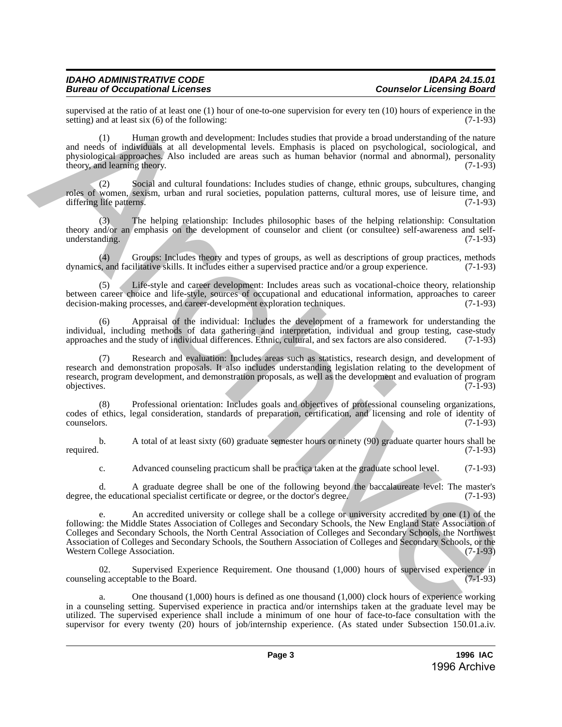### *IDAHO ADMINISTRATIVE CODE IDAPA 24.15.01* **Bureau of Occupational Licenses**

supervised at the ratio of at least one (1) hour of one-to-one supervision for every ten (10) hours of experience in the setting) and at least six (6) of the following: setting) and at least six  $(6)$  of the following:

(1) Human growth and development: Includes studies that provide a broad understanding of the nature and needs of individuals at all developmental levels. Emphasis is placed on psychological, sociological, and physiological approaches. Also included are areas such as human behavior (normal and abnormal), personality theory, and learning theory. (7-1-93) theory, and learning theory.

(2) Social and cultural foundations: Includes studies of change, ethnic groups, subcultures, changing roles of women, sexism, urban and rural societies, population patterns, cultural mores, use of leisure time, and differing life patterns. (7-1-93) differing life patterns.

(3) The helping relationship: Includes philosophic bases of the helping relationship: Consultation theory and/or an emphasis on the development of counselor and client (or consultee) self-awareness and selfunderstanding. (7-1-93)

(4) Groups: Includes theory and types of groups, as well as descriptions of group practices, methods  $\lambda$ , and facilitative skills. It includes either a supervised practice and/or a group experience. (7-1-93) dynamics, and facilitative skills. It includes either a supervised practice and/or a group experience.

Life-style and career development: Includes areas such as vocational-choice theory, relationship between career choice and life-style, sources of occupational and educational information, approaches to career decision-making processes, and career-development exploration techniques. (7-1-93) decision-making processes, and career-development exploration techniques.

Appraisal of the individual: Includes the development of a framework for understanding the individual, including methods of data gathering and interpretation, individual and group testing, case-study approaches and the study of individual differences. Ethnic, cultural, and sex factors are also considered. (7-1-9 approaches and the study of individual differences. Ethnic, cultural, and sex factors are also considered.

(7) Research and evaluation: Includes areas such as statistics, research design, and development of research and demonstration proposals. It also includes understanding legislation relating to the development of research, program development, and demonstration proposals, as well as the development and evaluation of program objectives. (7-1-93) objectives. (7-1-93)

(8) Professional orientation: Includes goals and objectives of professional counseling organizations, codes of ethics, legal consideration, standards of preparation, certification, and licensing and role of identity of counselors. (7-1-93)

b. A total of at least sixty (60) graduate semester hours or ninety (90) graduate quarter hours shall be required. (7-1-93) required. (7-1-93)

c. Advanced counseling practicum shall be practica taken at the graduate school level. (7-1-93)

d. A graduate degree shall be one of the following beyond the baccalaureate level: The master's degree, the educational specialist certificate or degree, or the doctor's degree. (7-1-93)

An accredited university or college shall be a college or university accredited by one (1) of the following: the Middle States Association of Colleges and Secondary Schools, the New England State Association of Colleges and Secondary Schools, the North Central Association of Colleges and Secondary Schools, the Northwest Association of Colleges and Secondary Schools, the Southern Association of Colleges and Secondary Schools, or the Western College Association. supervised in the subtract at lead one (1) theoretic at lead one (1) boxin of experiments (3). The subsection of the subsection of the subsection of the subsection of the subsection of the subsection of the subsection of

02. Supervised Experience Requirement. One thousand (1,000) hours of supervised experience in counseling acceptable to the Board. (7-1-93)

a. One thousand (1,000) hours is defined as one thousand (1,000) clock hours of experience working in a counseling setting. Supervised experience in practica and/or internships taken at the graduate level may be utilized. The supervised experience shall include a minimum of one hour of face-to-face consultation with the supervisor for every twenty (20) hours of job/internship experience. (As stated under Subsection 150.01.a.iv.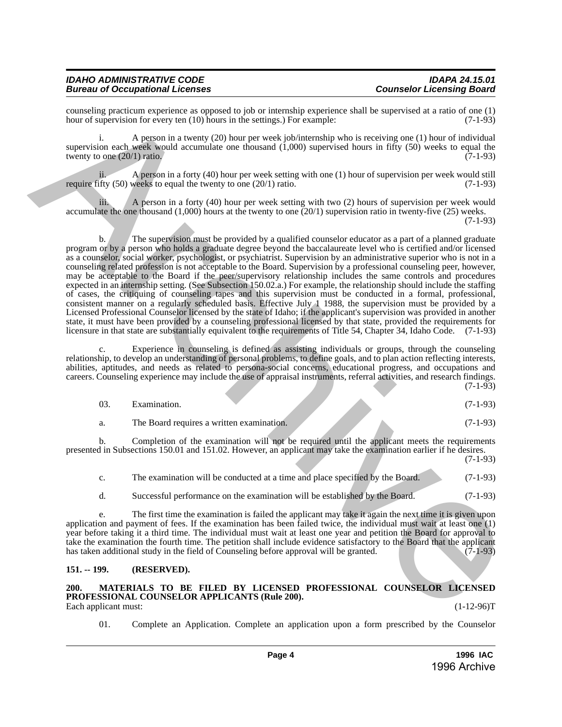| <b>IDAHO ADMINISTRATIVE CODE</b>       | <b>IDAPA 24.15.01</b>            |
|----------------------------------------|----------------------------------|
| <b>Bureau of Occupational Licenses</b> | <b>Counselor Licensing Board</b> |

counseling practicum experience as opposed to job or internship experience shall be supervised at a ratio of one (1) hour of supervision for every ten  $(10)$  hours in the settings.) For example:

i. A person in a twenty (20) hour per week job/internship who is receiving one (1) hour of individual supervision each week would accumulate one thousand (1,000) supervised hours in fifty (50) weeks to equal the twenty to one  $(20/1)$  ratio.  $(7-1-93)$ 

ii. A person in a forty (40) hour per week setting with one (1) hour of supervision per week would still require fifty  $(50)$  weeks to equal the twenty to one  $(20/1)$  ratio.  $(7-1-93)$ 

iii. A person in a forty (40) hour per week setting with two (2) hours of supervision per week would accumulate the one thousand (1,000) hours at the twenty to one (20/1) supervision ratio in twenty-five (25) weeks. (7-1-93)

b. The supervision must be provided by a qualified counselor educator as a part of a planned graduate program or by a person who holds a graduate degree beyond the baccalaureate level who is certified and/or licensed as a counselor, social worker, psychologist, or psychiatrist. Supervision by an administrative superior who is not in a counseling related profession is not acceptable to the Board. Supervision by a professional counseling peer, however, may be acceptable to the Board if the peer/supervisory relationship includes the same controls and procedures expected in an internship setting. (See Subsection 150.02.a.) For example, the relationship should include the staffing of cases, the critiquing of counseling tapes and this supervision must be conducted in a formal, professional, consistent manner on a regularly scheduled basis. Effective July 1 1988, the supervision must be provided by a Licensed Professional Counselor licensed by the state of Idaho; if the applicant's supervision was provided in another state, it must have been provided by a counseling professional licensed by that state, provided the requirements for licensure in that state are substantially equivalent to the requirements of Title 54, Chapter 34, Idaho Code. (7-1-93) consisting practices are presentation of the term of the presentation (and the supervised in a relive of the supervised in the supervised in the supervised of the supervised of the supervised of the supervised of the supe

Experience in counseling is defined as assisting individuals or groups, through the counseling relationship, to develop an understanding of personal problems, to define goals, and to plan action reflecting interests, abilities, aptitudes, and needs as related to persona-social concerns, educational progress, and occupations and careers. Counseling experience may include the use of appraisal instruments, referral activities, and research findings.  $(7-1-93)$ 

| Examination.                              |  | $(7-1-93)$ |
|-------------------------------------------|--|------------|
| The Board requires a written examination. |  | $(7-1-93)$ |

b. Completion of the examination will not be required until the applicant meets the requirements presented in Subsections 150.01 and 151.02. However, an applicant may take the examination earlier if he desires.

| The examination will be conducted at a time and place specified by the Board. | $(7-1-93)$ |
|-------------------------------------------------------------------------------|------------|
| Successful performance on the examination will be established by the Board.   | $(7-1-93)$ |

e. The first time the examination is failed the applicant may take it again the next time it is given upon application and payment of fees. If the examination has been failed twice, the individual must wait at least one (1) year before taking it a third time. The individual must wait at least one year and petition the Board for approval to take the examination the fourth time. The petition shall include evidence satisfactory to the Board that the applicant has taken additional study in the field of Counseling before approval will be granted.  $(7-1-93)$ 

### <span id="page-3-0"></span>**151. -- 199. (RESERVED).**

#### <span id="page-3-1"></span>**200. MATERIALS TO BE FILED BY LICENSED PROFESSIONAL COUNSELOR LICENSED PROFESSIONAL COUNSELOR APPLICANTS (Rule 200).** Each applicant must: (1-12-96)T

(7-1-93)

01. Complete an Application. Complete an application upon a form prescribed by the Counselor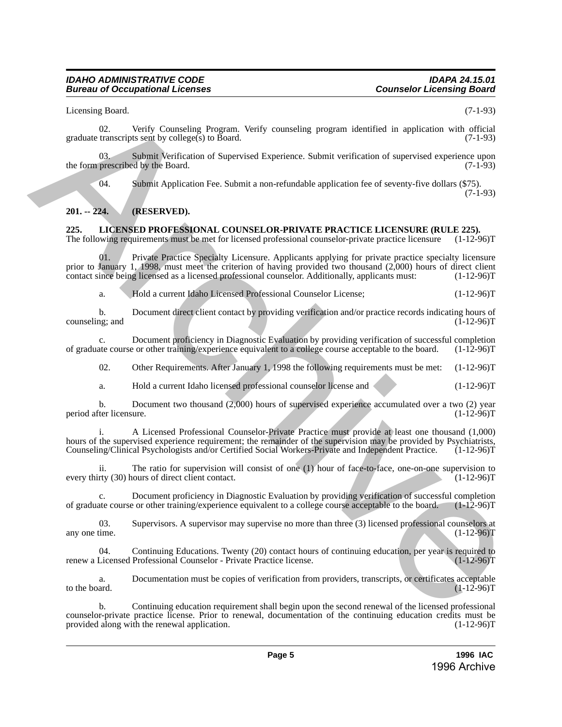### *IDAHO ADMINISTRATIVE CODE IDAPA 24.15.01* **Bureau of Occupational Licenses**

Licensing Board. (7-1-93)

02. Verify Counseling Program. Verify counseling program identified in application with official graduate transcripts sent by college(s) to Board. (7-1-93)

03. Submit Verification of Supervised Experience. Submit verification of supervised experience upon prescribed by the Board. (7-1-93) the form prescribed by the Board.

04. Submit Application Fee. Submit a non-refundable application fee of seventy-five dollars (\$75).

(7-1-93)

# <span id="page-4-0"></span>**201. -- 224. (RESERVED).**

# <span id="page-4-1"></span>**225. LICENSED PROFESSIONAL COUNSELOR-PRIVATE PRACTICE LICENSURE (RULE 225).**

The following requirements must be met for licensed professional counselor-private practice licensure (1-12-96)T

01. Private Practice Specialty Licensure. Applicants applying for private practice specialty licensure prior to January 1, 1998, must meet the criterion of having provided two thousand (2,000) hours of direct client contact since being licensed as a licensed professional counselor. Additionally, applicants must: (1-12-96)T 1 i.e.wising Brunch, Versidenty, Program, Verify votenschip program identified in application with disturbation<br>
gradoute consideration of the Bostic Considered Experience. Submit verification of supervised experience app

a. Hold a current Idaho Licensed Professional Counselor License; (1-12-96)T

b. Document direct client contact by providing verification and/or practice records indicating hours of ng; and (1-12-96) counseling; and

c. Document proficiency in Diagnostic Evaluation by providing verification of successful completion ate course or other training/experience equivalent to a college course acceptable to the board. (1-12-96)T of graduate course or other training/experience equivalent to a college course acceptable to the board.

02. Other Requirements. After January 1, 1998 the following requirements must be met: (1-12-96)T

a. Hold a current Idaho licensed professional counselor license and (1-12-96)T

b. Document two thousand (2,000) hours of supervised experience accumulated over a two (2) year iter licensure. (1-12-96) period after licensure.

i. A Licensed Professional Counselor-Private Practice must provide at least one thousand (1,000) hours of the supervised experience requirement; the remainder of the supervision may be provided by Psychiatrists, Counseling/Clinical Psychologists and/or Certified Social Workers-Private and Independent Practice. (1-12-9 Counseling/Clinical Psychologists and/or Certified Social Workers-Private and Independent Practice.

ii. The ratio for supervision will consist of one (1) hour of face-to-face, one-on-one supervision to rty (30) hours of direct client contact. (1-12-96) every thirty  $(30)$  hours of direct client contact.

Document proficiency in Diagnostic Evaluation by providing verification of successful completion<br>e or other training/experience equivalent to a college course acceptable to the board. (1-12-96) of graduate course or other training/experience equivalent to a college course acceptable to the board.

03. Supervisors. A supervisor may supervise no more than three (3) licensed professional counselors at any one time.  $(1-12-96)T$ any one time. (1-12-96)T

04. Continuing Educations. Twenty (20) contact hours of continuing education, per year is required to Licensed Professional Counselor - Private Practice license. renew a Licensed Professional Counselor - Private Practice license.

a. Documentation must be copies of verification from providers, transcripts, or certificates acceptable to the board. (1-12-96) to the board.  $(1-12-96)T$ 

b. Continuing education requirement shall begin upon the second renewal of the licensed professional counselor-private practice license. Prior to renewal, documentation of the continuing education credits must be provided along with the renewal application. (1-12-96) provided along with the renewal application.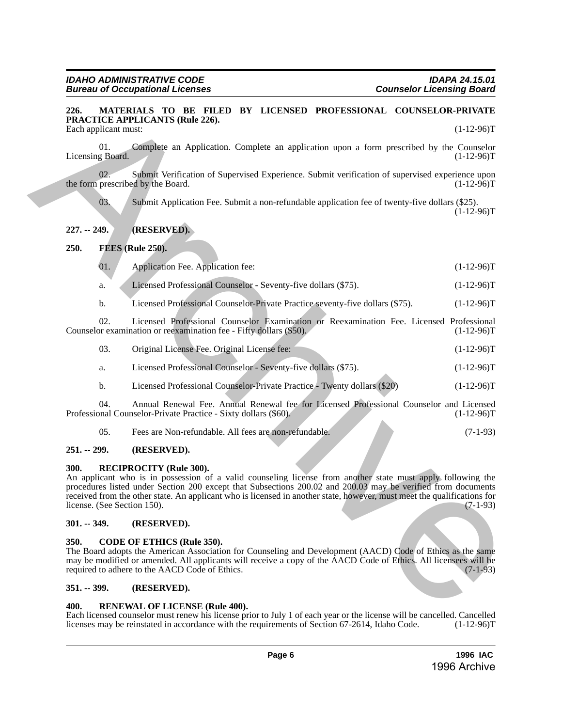#### <span id="page-5-0"></span>**226. MATERIALS TO BE FILED BY LICENSED PROFESSIONAL COUNSELOR-PRIVATE PRACTICE APPLICANTS (Rule 226).** Each applicant must: (1-12-96)T (1-12-96)T

01. Complete an Application. Complete an application upon a form prescribed by the Counselor g Board.  $(1-12-96)T$ Licensing Board.

02. Submit Verification of Supervised Experience. Submit verification of supervised experience upon prescribed by the Board. (1-12-96)T the form prescribed by the Board.

03. Submit Application Fee. Submit a non-refundable application fee of twenty-five dollars (\$25).  $(1-12-96)T$ 

# <span id="page-5-1"></span>**227. -- 249. (RESERVED).**

# <span id="page-5-2"></span>**250. FEES (Rule 250).**

| 01. | Application Fee. Application fee:                              | $(1-12-96)T$ |
|-----|----------------------------------------------------------------|--------------|
|     | Licensed Professional Counselor - Seventy-five dollars (\$75). | $(1-12-96)T$ |

b. Licensed Professional Counselor-Private Practice seventy-five dollars (\$75). (1-12-96)T

02. Licensed Professional Counselor Examination or Reexamination Fee. Licensed Professional Counselor examination or reexamination fee - Fifty dollars  $(\$50)$ . (1-12-96)T

| -03.<br>Original License Fee. Original License fee: | $(1-12-96)T$ |
|-----------------------------------------------------|--------------|
|-----------------------------------------------------|--------------|

- a. Licensed Professional Counselor Seventy-five dollars (\$75). (1-12-96)T
- b. Licensed Professional Counselor-Private Practice Twenty dollars (\$20) (1-12-96)T

04. Annual Renewal Fee. Annual Renewal fee for Licensed Professional Counselor and Licensed panal Counselor-Private Practice - Sixty dollars (\$60). (1-12-96) Professional Counselor-Private Practice - Sixty dollars (\$60).

05. Fees are Non-refundable. All fees are non-refundable. (7-1-93)

# <span id="page-5-3"></span>**251. -- 299. (RESERVED).**

# <span id="page-5-4"></span>**300. RECIPROCITY (Rule 300).**

An applicant who is in possession of a valid counseling license from another state must apply following the procedures listed under Section 200 except that Subsections 200.02 and 200.03 may be verified from documents received from the other state. An applicant who is licensed in another state, however, must meet the qualifications for license. (See Section 150). (7-1-93) license. (See Section 150). **226.** WATERIMAN TO HE 211420) BY LICENSIOD PROFESSION 11. COUNSELABERPHYPATE:<br>
TRACTICE APPLICANTS (Rule 26).<br>
The spin stress of Application Complete an application upon a form procedure by the Control of the spin stres

# <span id="page-5-5"></span>**301. -- 349. (RESERVED).**

# <span id="page-5-6"></span>**350. CODE OF ETHICS (Rule 350).**

The Board adopts the American Association for Counseling and Development (AACD) Code of Ethics as the same may be modified or amended. All applicants will receive a copy of the AACD Code of Ethics. All licensees will be required to adhere to the AACD Code of Ethics. (7-1-93) required to adhere to the AACD Code of Ethics.

# <span id="page-5-7"></span>**351. -- 399. (RESERVED).**

# <span id="page-5-8"></span>**400. RENEWAL OF LICENSE (Rule 400).**

Each licensed counselor must renew his license prior to July 1 of each year or the license will be cancelled. Cancelled licenses may be reinstated in accordance with the requirements of Section 67-2614, Idaho Code. (1-12-9 licenses may be reinstated in accordance with the requirements of Section 67-2614, Idaho Code.